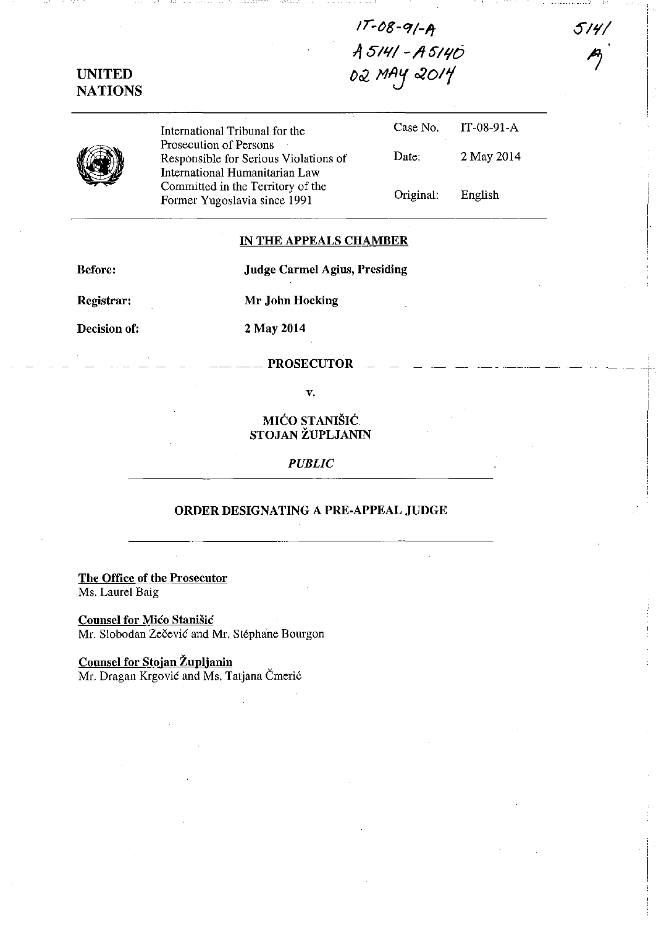$17 - 08 - 9/-$ A *A 511(/ -/lSI'IO 002 MAy 020/1* 

NATIONS

UNITED



International Tribunal for the Prosecution of Persons Responsible for Serious Violations of International Humanitarian Law Committed in the Territory of the Former Yugoslavia since 1991

| Case No.  | IT-08-91-A |
|-----------|------------|
| Date:     | 2 May 2014 |
| Original: | English    |

 $514/$ 

## IN THE APPEALS CHAMBER

Before: Jndge Carmel Agius, Presiding

Registrar: Mr John Hocking

Decision of: 2 May 2014

PROSECUTOR

v.

MIĆO STANIŠIĆ. STOJAN ŽUPLJANIN

*PUBLIC* 

## ORDER DESIGNATING A PRE-APPEAL JUDGE

The Office of the Prosecutor Ms. Laurel Baig

Counsel for Mico Stanisic Mr. Slobodan Zečević and Mr. Stéphane Bourgon

Counsel for Stojan Župljanin Mr. Dragan Krgović and Ms. Tatjana Čmerić